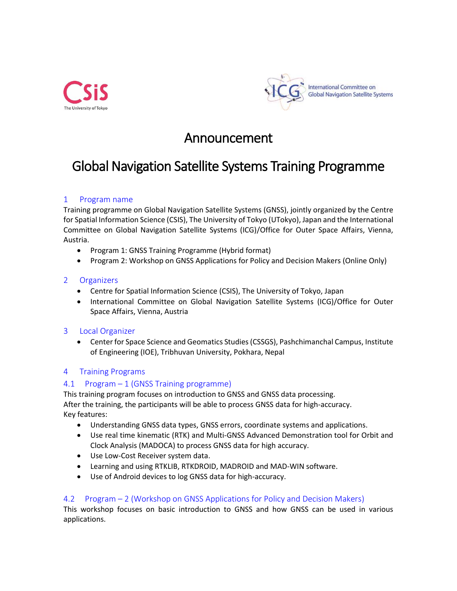



# Announcement

# Global Navigation Satellite Systems Training Programme

# 1 Program name

Training programme on Global Navigation Satellite Systems (GNSS), jointly organized by the Centre for Spatial Information Science (CSIS), The University of Tokyo (UTokyo), Japan and the International Committee on Global Navigation Satellite Systems (ICG)/Office for Outer Space Affairs, Vienna, Austria.

- Program 1: GNSS Training Programme (Hybrid format)
- Program 2: Workshop on GNSS Applications for Policy and Decision Makers (Online Only)

### 2 Organizers

- Centre for Spatial Information Science (CSIS), The University of Tokyo, Japan
- International Committee on Global Navigation Satellite Systems (ICG)/Office for Outer Space Affairs, Vienna, Austria

# 3 Local Organizer

• Center for Space Science and Geomatics Studies (CSSGS), Pashchimanchal Campus, Institute of Engineering (IOE), Tribhuvan University, Pokhara, Nepal

# 4 Training Programs

# 4.1 Program – 1 (GNSS Training programme)

This training program focuses on introduction to GNSS and GNSS data processing. After the training, the participants will be able to process GNSS data for high-accuracy. Key features:

- Understanding GNSS data types, GNSS errors, coordinate systems and applications.
- Use real time kinematic (RTK) and Multi-GNSS Advanced Demonstration tool for Orbit and Clock Analysis (MADOCA) to process GNSS data for high accuracy.
- Use Low-Cost Receiver system data.
- Learning and using RTKLIB, RTKDROID, MADROID and MAD-WIN software.
- Use of Android devices to log GNSS data for high-accuracy.

# 4.2 Program – 2 (Workshop on GNSS Applications for Policy and Decision Makers)

This workshop focuses on basic introduction to GNSS and how GNSS can be used in various applications.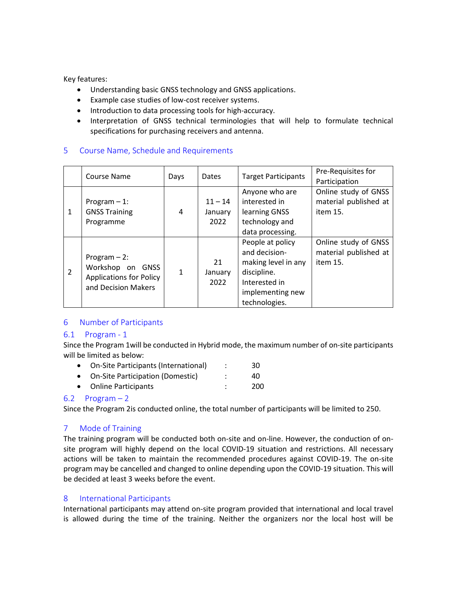Key features:

- Understanding basic GNSS technology and GNSS applications.
- Example case studies of low-cost receiver systems.
- Introduction to data processing tools for high-accuracy.
- Interpretation of GNSS technical terminologies that will help to formulate technical specifications for purchasing receivers and antenna.

#### 5 Course Name, Schedule and Requirements

|              | Course Name                                                                                 | Days         | Dates                        | <b>Target Participants</b>                                                                                                    | Pre-Requisites for<br>Participation                       |
|--------------|---------------------------------------------------------------------------------------------|--------------|------------------------------|-------------------------------------------------------------------------------------------------------------------------------|-----------------------------------------------------------|
| $\mathbf{1}$ | Program $-1$ :<br><b>GNSS Training</b><br>Programme                                         | 4            | $11 - 14$<br>January<br>2022 | Anyone who are<br>interested in<br>learning GNSS<br>technology and<br>data processing.                                        | Online study of GNSS<br>material published at<br>item 15. |
| 2            | Program $-2$ :<br>Workshop on GNSS<br><b>Applications for Policy</b><br>and Decision Makers | $\mathbf{1}$ | 21<br>January<br>2022        | People at policy<br>and decision-<br>making level in any<br>discipline.<br>Interested in<br>implementing new<br>technologies. | Online study of GNSS<br>material published at<br>item 15. |

#### 6 Number of Participants

#### 6.1 Program - 1

Since the Program 1will be conducted in Hybrid mode, the maximum number of on-site participants will be limited as below:

- On-Site Participants (International) : 30
- On-Site Participation (Domestic) : 40 • Online Participants : 200

#### $6.2$  Program  $-2$

Since the Program 2is conducted online, the total number of participants will be limited to 250.

#### 7 Mode of Training

The training program will be conducted both on-site and on-line. However, the conduction of onsite program will highly depend on the local COVID-19 situation and restrictions. All necessary actions will be taken to maintain the recommended procedures against COVID-19. The on-site program may be cancelled and changed to online depending upon the COVID-19 situation. This will be decided at least 3 weeks before the event.

#### 8 International Participants

International participants may attend on-site program provided that international and local travel is allowed during the time of the training. Neither the organizers nor the local host will be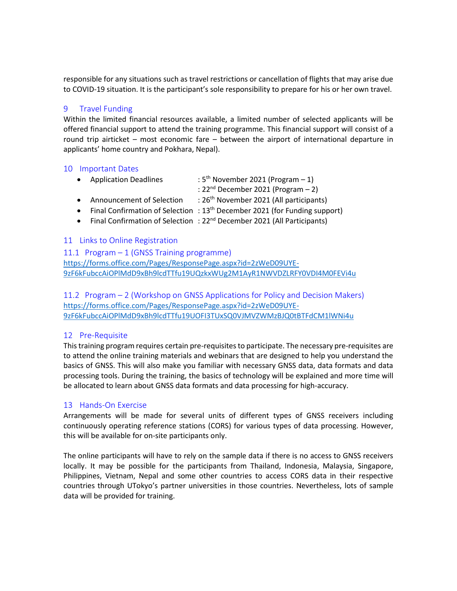responsible for any situations such as travel restrictions or cancellation of flights that may arise due to COVID-19 situation. It is the participant's sole responsibility to prepare for his or her own travel.

#### **Travel Funding**

Within the limited financial resources available, a limited number of selected applicants will be offered financial support to attend the training programme. This financial support will consist of a round trip airticket – most economic fare – between the airport of international departure in applicants' home country and Pokhara, Nepal).

#### 10 Important Dates

- Application Deadlines :  $5<sup>th</sup>$  November 2021 (Program – 1)
	- :  $22<sup>nd</sup>$  December 2021 (Program 2)
- Announcement of Selection :  $26<sup>th</sup>$  November 2021 (All participants)
- Final Confirmation of Selection :  $13<sup>th</sup>$  December 2021 (for Funding support)
- Final Confirmation of Selection : 22<sup>nd</sup> December 2021 (All Participants)

#### 11 Links to Online Registration

11.1 Program – 1 (GNSS Training programme) [https://forms.office.com/Pages/ResponsePage.aspx?id=2zWeD09UYE-](https://forms.office.com/Pages/ResponsePage.aspx?id=2zWeD09UYE-9zF6kFubccAiOPlMdD9xBh9lcdTTfu19UQzkxWUg2M1AyR1NWVDZLRFY0VDI4M0FEVi4u)[9zF6kFubccAiOPlMdD9xBh9lcdTTfu19UQzkxWUg2M1AyR1NWVDZLRFY0VDI4M0FEVi4u](https://forms.office.com/Pages/ResponsePage.aspx?id=2zWeD09UYE-9zF6kFubccAiOPlMdD9xBh9lcdTTfu19UQzkxWUg2M1AyR1NWVDZLRFY0VDI4M0FEVi4u)

#### 11.2 Program – 2 (Workshop on GNSS Applications for Policy and Decision Makers) [https://forms.office.com/Pages/ResponsePage.aspx?id=2zWeD09UYE-](https://forms.office.com/Pages/ResponsePage.aspx?id=2zWeD09UYE-9zF6kFubccAiOPlMdD9xBh9lcdTTfu19UOFI3TUxSQ0VJMVZWMzBJQ0tBTFdCM1lWNi4u)[9zF6kFubccAiOPlMdD9xBh9lcdTTfu19UOFI3TUxSQ0VJMVZWMzBJQ0tBTFdCM1lWNi4u](https://forms.office.com/Pages/ResponsePage.aspx?id=2zWeD09UYE-9zF6kFubccAiOPlMdD9xBh9lcdTTfu19UOFI3TUxSQ0VJMVZWMzBJQ0tBTFdCM1lWNi4u)

#### 12 Pre-Requisite

This training program requires certain pre-requisites to participate. The necessary pre-requisites are to attend the online training materials and webinars that are designed to help you understand the basics of GNSS. This will also make you familiar with necessary GNSS data, data formats and data processing tools. During the training, the basics of technology will be explained and more time will be allocated to learn about GNSS data formats and data processing for high-accuracy.

#### 13 Hands-On Exercise

Arrangements will be made for several units of different types of GNSS receivers including continuously operating reference stations (CORS) for various types of data processing. However, this will be available for on-site participants only.

The online participants will have to rely on the sample data if there is no access to GNSS receivers locally. It may be possible for the participants from Thailand, Indonesia, Malaysia, Singapore, Philippines, Vietnam, Nepal and some other countries to access CORS data in their respective countries through UTokyo's partner universities in those countries. Nevertheless, lots of sample data will be provided for training.